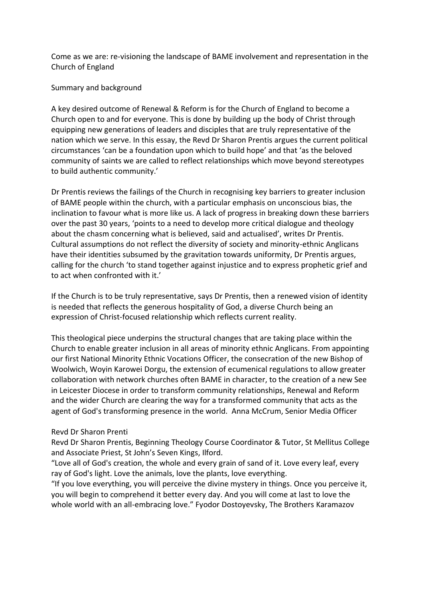Come as we are: re-visioning the landscape of BAME involvement and representation in the Church of England

## Summary and background

A key desired outcome of Renewal & Reform is for the Church of England to become a Church open to and for everyone. This is done by building up the body of Christ through equipping new generations of leaders and disciples that are truly representative of the nation which we serve. In this essay, the Revd Dr Sharon Prentis argues the current political circumstances 'can be a foundation upon which to build hope' and that 'as the beloved community of saints we are called to reflect relationships which move beyond stereotypes to build authentic community.'

Dr Prentis reviews the failings of the Church in recognising key barriers to greater inclusion of BAME people within the church, with a particular emphasis on unconscious bias, the inclination to favour what is more like us. A lack of progress in breaking down these barriers over the past 30 years, 'points to a need to develop more critical dialogue and theology about the chasm concerning what is believed, said and actualised', writes Dr Prentis. Cultural assumptions do not reflect the diversity of society and minority-ethnic Anglicans have their identities subsumed by the gravitation towards uniformity, Dr Prentis argues, calling for the church 'to stand together against injustice and to express prophetic grief and to act when confronted with it.'

If the Church is to be truly representative, says Dr Prentis, then a renewed vision of identity is needed that reflects the generous hospitality of God, a diverse Church being an expression of Christ-focused relationship which reflects current reality.

This theological piece underpins the structural changes that are taking place within the Church to enable greater inclusion in all areas of minority ethnic Anglicans. From appointing our first National Minority Ethnic Vocations Officer, the consecration of the new Bishop of Woolwich, Woyin Karowei Dorgu, the extension of ecumenical regulations to allow greater collaboration with network churches often BAME in character, to the creation of a new See in Leicester Diocese in order to transform community relationships, Renewal and Reform and the wider Church are clearing the way for a transformed community that acts as the agent of God's transforming presence in the world. Anna McCrum, Senior Media Officer

### Revd Dr Sharon Prenti

Revd Dr Sharon Prentis, Beginning Theology Course Coordinator & Tutor, St Mellitus College and Associate Priest, St John's Seven Kings, Ilford.

"Love all of God's creation, the whole and every grain of sand of it. Love every leaf, every ray of God's light. Love the animals, love the plants, love everything.

"If you love everything, you will perceive the divine mystery in things. Once you perceive it, you will begin to comprehend it better every day. And you will come at last to love the whole world with an all-embracing love." Fyodor Dostoyevsky, The Brothers Karamazov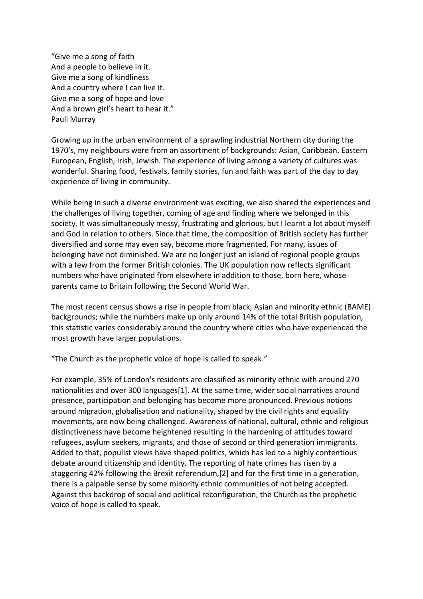"Give me a song of faith And a people to believe in it. Give me a song of kindliness And a country where I can live it. Give me a song of hope and love And a brown girl's heart to hear it." Pauli Murray

Growing up in the urban environment of a sprawling industrial Northern city during the 1970's, my neighbours were from an assortment of backgrounds: Asian, Caribbean, Eastern European, English, Irish, Jewish. The experience of living among a variety of cultures was wonderful. Sharing food, festivals, family stories, fun and faith was part of the day to day experience of living in community.

While being in such a diverse environment was exciting, we also shared the experiences and the challenges of living together, coming of age and finding where we belonged in this society. It was simultaneously messy, frustrating and glorious, but I learnt a lot about myself and God in relation to others. Since that time, the composition of British society has further diversified and some may even say, become more fragmented. For many, issues of belonging have not diminished. We are no longer just an island of regional people groups with a few from the former British colonies. The UK population now reflects significant numbers who have originated from elsewhere in addition to those, born here, whose parents came to Britain following the Second World War.

The most recent census shows a rise in people from black, Asian and minority ethnic (BAME) backgrounds; while the numbers make up only around 14% of the total British population, this statistic varies considerably around the country where cities who have experienced the most growth have larger populations.

"The Church as the prophetic voice of hope is called to speak."

For example, 35% of London's residents are classified as minority ethnic with around 270 nationalities and over 300 languages[1]. At the same time, wider social narratives around presence, participation and belonging has become more pronounced. Previous notions around migration, globalisation and nationality, shaped by the civil rights and equality movements, are now being challenged. Awareness of national, cultural, ethnic and religious distinctiveness have become heightened resulting in the hardening of attitudes toward refugees, asylum seekers, migrants, and those of second or third generation immigrants. Added to that, populist views have shaped politics, which has led to a highly contentious debate around citizenship and identity. The reporting of hate crimes has risen by a staggering 42% following the Brexit referendum,[2] and for the first time in a generation, there is a palpable sense by some minority ethnic communities of not being accepted. Against this backdrop of social and political reconfiguration, the Church as the prophetic voice of hope is called to speak.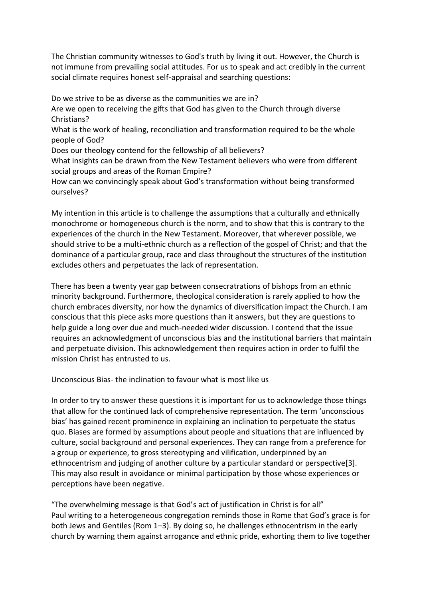The Christian community witnesses to God's truth by living it out. However, the Church is not immune from prevailing social attitudes. For us to speak and act credibly in the current social climate requires honest self-appraisal and searching questions:

Do we strive to be as diverse as the communities we are in? Are we open to receiving the gifts that God has given to the Church through diverse Christians? What is the work of healing, reconciliation and transformation required to be the whole people of God? Does our theology contend for the fellowship of all believers? What insights can be drawn from the New Testament believers who were from different social groups and areas of the Roman Empire? How can we convincingly speak about God's transformation without being transformed ourselves?

My intention in this article is to challenge the assumptions that a culturally and ethnically monochrome or homogeneous church is the norm, and to show that this is contrary to the experiences of the church in the New Testament. Moreover, that wherever possible, we should strive to be a multi-ethnic church as a reflection of the gospel of Christ; and that the dominance of a particular group, race and class throughout the structures of the institution excludes others and perpetuates the lack of representation.

There has been a twenty year gap between consecratrations of bishops from an ethnic minority background. Furthermore, theological consideration is rarely applied to how the church embraces diversity, nor how the dynamics of diversification impact the Church. I am conscious that this piece asks more questions than it answers, but they are questions to help guide a long over due and much-needed wider discussion. I contend that the issue requires an acknowledgment of unconscious bias and the institutional barriers that maintain and perpetuate division. This acknowledgement then requires action in order to fulfil the mission Christ has entrusted to us.

Unconscious Bias- the inclination to favour what is most like us

In order to try to answer these questions it is important for us to acknowledge those things that allow for the continued lack of comprehensive representation. The term 'unconscious bias' has gained recent prominence in explaining an inclination to perpetuate the status quo. Biases are formed by assumptions about people and situations that are influenced by culture, social background and personal experiences. They can range from a preference for a group or experience, to gross stereotyping and vilification, underpinned by an ethnocentrism and judging of another culture by a particular standard or perspective[3]. This may also result in avoidance or minimal participation by those whose experiences or perceptions have been negative.

"The overwhelming message is that God's act of justification in Christ is for all" Paul writing to a heterogeneous congregation reminds those in Rome that God's grace is for both Jews and Gentiles (Rom 1–3). By doing so, he challenges ethnocentrism in the early church by warning them against arrogance and ethnic pride, exhorting them to live together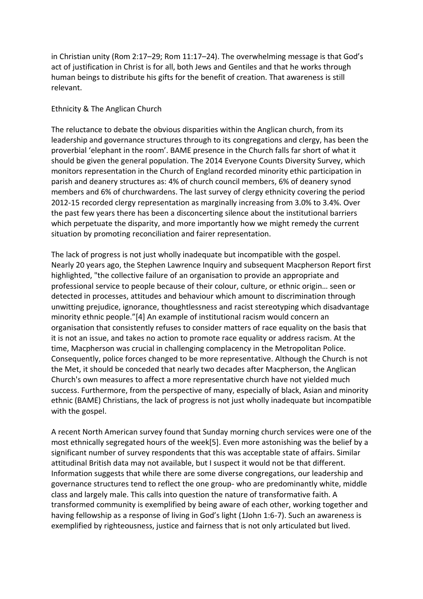in Christian unity (Rom 2:17–29; Rom 11:17–24). The overwhelming message is that God's act of justification in Christ is for all, both Jews and Gentiles and that he works through human beings to distribute his gifts for the benefit of creation. That awareness is still relevant.

# Ethnicity & The Anglican Church

The reluctance to debate the obvious disparities within the Anglican church, from its leadership and governance structures through to its congregations and clergy, has been the proverbial 'elephant in the room'. BAME presence in the Church falls far short of what it should be given the general population. The 2014 Everyone Counts Diversity Survey, which monitors representation in the Church of England recorded minority ethic participation in parish and deanery structures as: 4% of church council members, 6% of deanery synod members and 6% of churchwardens. The last survey of clergy ethnicity covering the period 2012-15 recorded clergy representation as marginally increasing from 3.0% to 3.4%. Over the past few years there has been a disconcerting silence about the institutional barriers which perpetuate the disparity, and more importantly how we might remedy the current situation by promoting reconciliation and fairer representation.

The lack of progress is not just wholly inadequate but incompatible with the gospel. Nearly 20 years ago, the Stephen Lawrence Inquiry and subsequent Macpherson Report first highlighted, "the collective failure of an organisation to provide an appropriate and professional service to people because of their colour, culture, or ethnic origin… seen or detected in processes, attitudes and behaviour which amount to discrimination through unwitting prejudice, ignorance, thoughtlessness and racist stereotyping which disadvantage minority ethnic people."[4] An example of institutional racism would concern an organisation that consistently refuses to consider matters of race equality on the basis that it is not an issue, and takes no action to promote race equality or address racism. At the time, Macpherson was crucial in challenging complacency in the Metropolitan Police. Consequently, police forces changed to be more representative. Although the Church is not the Met, it should be conceded that nearly two decades after Macpherson, the Anglican Church's own measures to affect a more representative church have not yielded much success. Furthermore, from the perspective of many, especially of black, Asian and minority ethnic (BAME) Christians, the lack of progress is not just wholly inadequate but incompatible with the gospel.

A recent North American survey found that Sunday morning church services were one of the most ethnically segregated hours of the week[5]. Even more astonishing was the belief by a significant number of survey respondents that this was acceptable state of affairs. Similar attitudinal British data may not available, but I suspect it would not be that different. Information suggests that while there are some diverse congregations, our leadership and governance structures tend to reflect the one group- who are predominantly white, middle class and largely male. This calls into question the nature of transformative faith. A transformed community is exemplified by being aware of each other, working together and having fellowship as a response of living in God's light (1John 1:6-7). Such an awareness is exemplified by righteousness, justice and fairness that is not only articulated but lived.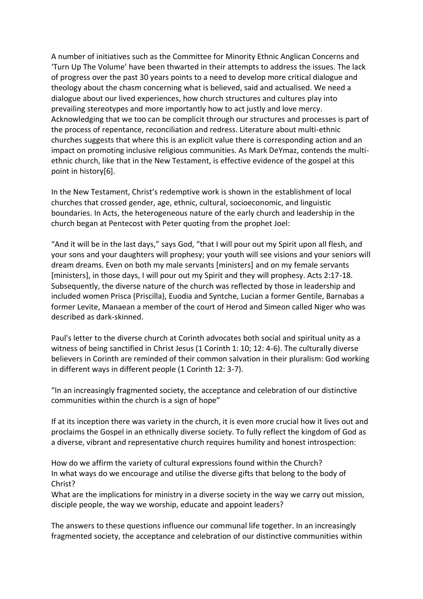A number of initiatives such as the Committee for Minority Ethnic Anglican Concerns and 'Turn Up The Volume' have been thwarted in their attempts to address the issues. The lack of progress over the past 30 years points to a need to develop more critical dialogue and theology about the chasm concerning what is believed, said and actualised. We need a dialogue about our lived experiences, how church structures and cultures play into prevailing stereotypes and more importantly how to act justly and love mercy. Acknowledging that we too can be complicit through our structures and processes is part of the process of repentance, reconciliation and redress. Literature about multi-ethnic churches suggests that where this is an explicit value there is corresponding action and an impact on promoting inclusive religious communities. As Mark DeYmaz, contends the multiethnic church, like that in the New Testament, is effective evidence of the gospel at this point in history[6].

In the New Testament, Christ's redemptive work is shown in the establishment of local churches that crossed gender, age, ethnic, cultural, socioeconomic, and linguistic boundaries. In Acts, the heterogeneous nature of the early church and leadership in the church began at Pentecost with Peter quoting from the prophet Joel:

"And it will be in the last days," says God, "that I will pour out my Spirit upon all flesh, and your sons and your daughters will prophesy; your youth will see visions and your seniors will dream dreams. Even on both my male servants [ministers] and on my female servants [ministers], in those days, I will pour out my Spirit and they will prophesy. Acts 2:17-18. Subsequently, the diverse nature of the church was reflected by those in leadership and included women Prisca (Priscilla), Euodia and Syntche, Lucian a former Gentile, Barnabas a former Levite, Manaean a member of the court of Herod and Simeon called Niger who was described as dark-skinned.

Paul's letter to the diverse church at Corinth advocates both social and spiritual unity as a witness of being sanctified in Christ Jesus (1 Corinth 1: 10; 12: 4-6). The culturally diverse believers in Corinth are reminded of their common salvation in their pluralism: God working in different ways in different people (1 Corinth 12: 3-7).

"In an increasingly fragmented society, the acceptance and celebration of our distinctive communities within the church is a sign of hope"

If at its inception there was variety in the church, it is even more crucial how it lives out and proclaims the Gospel in an ethnically diverse society. To fully reflect the kingdom of God as a diverse, vibrant and representative church requires humility and honest introspection:

How do we affirm the variety of cultural expressions found within the Church? In what ways do we encourage and utilise the diverse gifts that belong to the body of Christ?

What are the implications for ministry in a diverse society in the way we carry out mission, disciple people, the way we worship, educate and appoint leaders?

The answers to these questions influence our communal life together. In an increasingly fragmented society, the acceptance and celebration of our distinctive communities within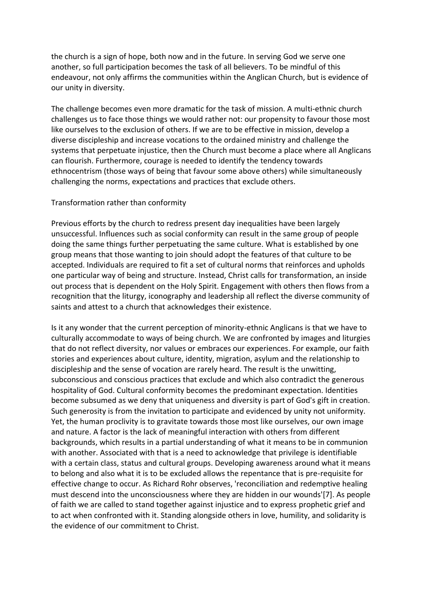the church is a sign of hope, both now and in the future. In serving God we serve one another, so full participation becomes the task of all believers. To be mindful of this endeavour, not only affirms the communities within the Anglican Church, but is evidence of our unity in diversity.

The challenge becomes even more dramatic for the task of mission. A multi-ethnic church challenges us to face those things we would rather not: our propensity to favour those most like ourselves to the exclusion of others. If we are to be effective in mission, develop a diverse discipleship and increase vocations to the ordained ministry and challenge the systems that perpetuate injustice, then the Church must become a place where all Anglicans can flourish. Furthermore, courage is needed to identify the tendency towards ethnocentrism (those ways of being that favour some above others) while simultaneously challenging the norms, expectations and practices that exclude others.

## Transformation rather than conformity

Previous efforts by the church to redress present day inequalities have been largely unsuccessful. Influences such as social conformity can result in the same group of people doing the same things further perpetuating the same culture. What is established by one group means that those wanting to join should adopt the features of that culture to be accepted. Individuals are required to fit a set of cultural norms that reinforces and upholds one particular way of being and structure. Instead, Christ calls for transformation, an inside out process that is dependent on the Holy Spirit. Engagement with others then flows from a recognition that the liturgy, iconography and leadership all reflect the diverse community of saints and attest to a church that acknowledges their existence.

Is it any wonder that the current perception of minority-ethnic Anglicans is that we have to culturally accommodate to ways of being church. We are confronted by images and liturgies that do not reflect diversity, nor values or embraces our experiences. For example, our faith stories and experiences about culture, identity, migration, asylum and the relationship to discipleship and the sense of vocation are rarely heard. The result is the unwitting, subconscious and conscious practices that exclude and which also contradict the generous hospitality of God. Cultural conformity becomes the predominant expectation. Identities become subsumed as we deny that uniqueness and diversity is part of God's gift in creation. Such generosity is from the invitation to participate and evidenced by unity not uniformity. Yet, the human proclivity is to gravitate towards those most like ourselves, our own image and nature. A factor is the lack of meaningful interaction with others from different backgrounds, which results in a partial understanding of what it means to be in communion with another. Associated with that is a need to acknowledge that privilege is identifiable with a certain class, status and cultural groups. Developing awareness around what it means to belong and also what it is to be excluded allows the repentance that is pre-requisite for effective change to occur. As Richard Rohr observes, 'reconciliation and redemptive healing must descend into the unconsciousness where they are hidden in our wounds'[7]. As people of faith we are called to stand together against injustice and to express prophetic grief and to act when confronted with it. Standing alongside others in love, humility, and solidarity is the evidence of our commitment to Christ.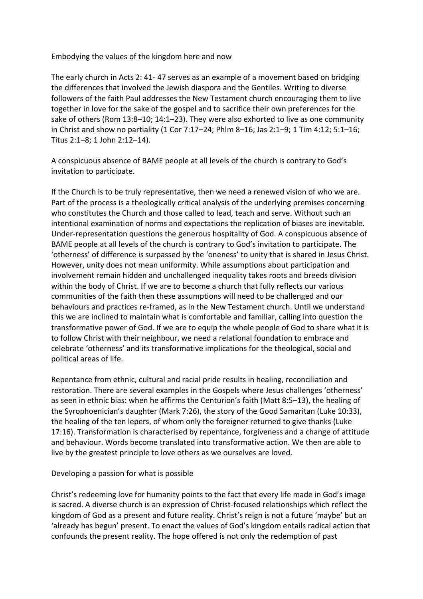Embodying the values of the kingdom here and now

The early church in Acts 2: 41- 47 serves as an example of a movement based on bridging the differences that involved the Jewish diaspora and the Gentiles. Writing to diverse followers of the faith Paul addresses the New Testament church encouraging them to live together in love for the sake of the gospel and to sacrifice their own preferences for the sake of others (Rom 13:8–10; 14:1–23). They were also exhorted to live as one community in Christ and show no partiality (1 Cor 7:17–24; Phlm 8–16; Jas 2:1–9; 1 Tim 4:12; 5:1–16; Titus 2:1–8; 1 John 2:12–14).

A conspicuous absence of BAME people at all levels of the church is contrary to God's invitation to participate.

If the Church is to be truly representative, then we need a renewed vision of who we are. Part of the process is a theologically critical analysis of the underlying premises concerning who constitutes the Church and those called to lead, teach and serve. Without such an intentional examination of norms and expectations the replication of biases are inevitable. Under-representation questions the generous hospitality of God. A conspicuous absence of BAME people at all levels of the church is contrary to God's invitation to participate. The 'otherness' of difference is surpassed by the 'oneness' to unity that is shared in Jesus Christ. However, unity does not mean uniformity. While assumptions about participation and involvement remain hidden and unchallenged inequality takes roots and breeds division within the body of Christ. If we are to become a church that fully reflects our various communities of the faith then these assumptions will need to be challenged and our behaviours and practices re-framed, as in the New Testament church. Until we understand this we are inclined to maintain what is comfortable and familiar, calling into question the transformative power of God. If we are to equip the whole people of God to share what it is to follow Christ with their neighbour, we need a relational foundation to embrace and celebrate 'otherness' and its transformative implications for the theological, social and political areas of life.

Repentance from ethnic, cultural and racial pride results in healing, reconciliation and restoration. There are several examples in the Gospels where Jesus challenges 'otherness' as seen in ethnic bias: when he affirms the Centurion's faith (Matt 8:5–13), the healing of the Syrophoenician's daughter (Mark 7:26), the story of the Good Samaritan (Luke 10:33), the healing of the ten lepers, of whom only the foreigner returned to give thanks (Luke 17:16). Transformation is characterised by repentance, forgiveness and a change of attitude and behaviour. Words become translated into transformative action. We then are able to live by the greatest principle to love others as we ourselves are loved.

Developing a passion for what is possible

Christ's redeeming love for humanity points to the fact that every life made in God's image is sacred. A diverse church is an expression of Christ-focused relationships which reflect the kingdom of God as a present and future reality. Christ's reign is not a future 'maybe' but an 'already has begun' present. To enact the values of God's kingdom entails radical action that confounds the present reality. The hope offered is not only the redemption of past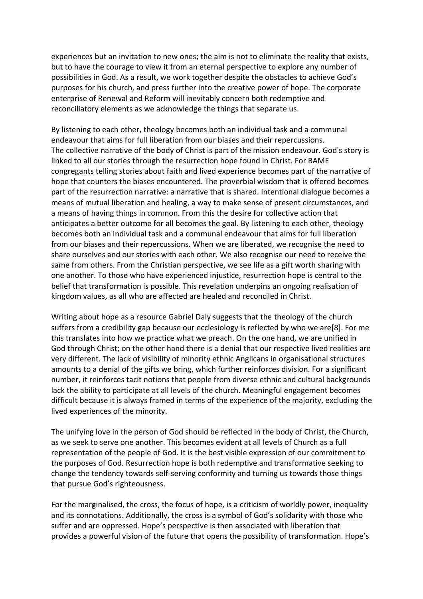experiences but an invitation to new ones; the aim is not to eliminate the reality that exists, but to have the courage to view it from an eternal perspective to explore any number of possibilities in God. As a result, we work together despite the obstacles to achieve God's purposes for his church, and press further into the creative power of hope. The corporate enterprise of Renewal and Reform will inevitably concern both redemptive and reconciliatory elements as we acknowledge the things that separate us.

By listening to each other, theology becomes both an individual task and a communal endeavour that aims for full liberation from our biases and their repercussions. The collective narrative of the body of Christ is part of the mission endeavour. God's story is linked to all our stories through the resurrection hope found in Christ. For BAME congregants telling stories about faith and lived experience becomes part of the narrative of hope that counters the biases encountered. The proverbial wisdom that is offered becomes part of the resurrection narrative: a narrative that is shared. Intentional dialogue becomes a means of mutual liberation and healing, a way to make sense of present circumstances, and a means of having things in common. From this the desire for collective action that anticipates a better outcome for all becomes the goal. By listening to each other, theology becomes both an individual task and a communal endeavour that aims for full liberation from our biases and their repercussions. When we are liberated, we recognise the need to share ourselves and our stories with each other. We also recognise our need to receive the same from others. From the Christian perspective, we see life as a gift worth sharing with one another. To those who have experienced injustice, resurrection hope is central to the belief that transformation is possible. This revelation underpins an ongoing realisation of kingdom values, as all who are affected are healed and reconciled in Christ.

Writing about hope as a resource Gabriel Daly suggests that the theology of the church suffers from a credibility gap because our ecclesiology is reflected by who we are[8]. For me this translates into how we practice what we preach. On the one hand, we are unified in God through Christ; on the other hand there is a denial that our respective lived realities are very different. The lack of visibility of minority ethnic Anglicans in organisational structures amounts to a denial of the gifts we bring, which further reinforces division. For a significant number, it reinforces tacit notions that people from diverse ethnic and cultural backgrounds lack the ability to participate at all levels of the church. Meaningful engagement becomes difficult because it is always framed in terms of the experience of the majority, excluding the lived experiences of the minority.

The unifying love in the person of God should be reflected in the body of Christ, the Church, as we seek to serve one another. This becomes evident at all levels of Church as a full representation of the people of God. It is the best visible expression of our commitment to the purposes of God. Resurrection hope is both redemptive and transformative seeking to change the tendency towards self-serving conformity and turning us towards those things that pursue God's righteousness.

For the marginalised, the cross, the focus of hope, is a criticism of worldly power, inequality and its connotations. Additionally, the cross is a symbol of God's solidarity with those who suffer and are oppressed. Hope's perspective is then associated with liberation that provides a powerful vision of the future that opens the possibility of transformation. Hope's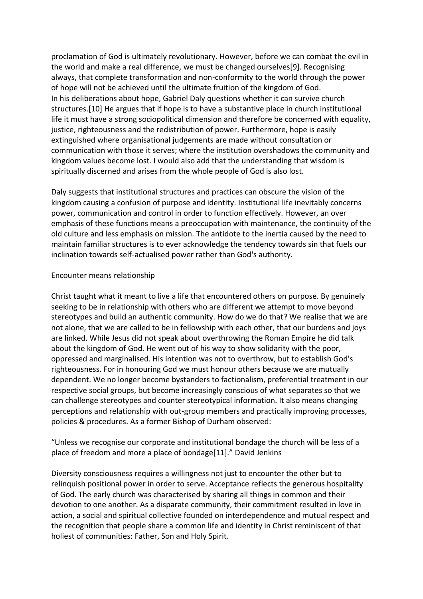proclamation of God is ultimately revolutionary. However, before we can combat the evil in the world and make a real difference, we must be changed ourselves[9]. Recognising always, that complete transformation and non-conformity to the world through the power of hope will not be achieved until the ultimate fruition of the kingdom of God. In his deliberations about hope, Gabriel Daly questions whether it can survive church structures.[10] He argues that if hope is to have a substantive place in church institutional life it must have a strong sociopolitical dimension and therefore be concerned with equality, justice, righteousness and the redistribution of power. Furthermore, hope is easily extinguished where organisational judgements are made without consultation or communication with those it serves; where the institution overshadows the community and kingdom values become lost. I would also add that the understanding that wisdom is spiritually discerned and arises from the whole people of God is also lost.

Daly suggests that institutional structures and practices can obscure the vision of the kingdom causing a confusion of purpose and identity. Institutional life inevitably concerns power, communication and control in order to function effectively. However, an over emphasis of these functions means a preoccupation with maintenance, the continuity of the old culture and less emphasis on mission. The antidote to the inertia caused by the need to maintain familiar structures is to ever acknowledge the tendency towards sin that fuels our inclination towards self-actualised power rather than God's authority.

## Encounter means relationship

Christ taught what it meant to live a life that encountered others on purpose. By genuinely seeking to be in relationship with others who are different we attempt to move beyond stereotypes and build an authentic community. How do we do that? We realise that we are not alone, that we are called to be in fellowship with each other, that our burdens and joys are linked. While Jesus did not speak about overthrowing the Roman Empire he did talk about the kingdom of God. He went out of his way to show solidarity with the poor, oppressed and marginalised. His intention was not to overthrow, but to establish God's righteousness. For in honouring God we must honour others because we are mutually dependent. We no longer become bystanders to factionalism, preferential treatment in our respective social groups, but become increasingly conscious of what separates so that we can challenge stereotypes and counter stereotypical information. It also means changing perceptions and relationship with out-group members and practically improving processes, policies & procedures. As a former Bishop of Durham observed:

"Unless we recognise our corporate and institutional bondage the church will be less of a place of freedom and more a place of bondage[11]." David Jenkins

Diversity consciousness requires a willingness not just to encounter the other but to relinquish positional power in order to serve. Acceptance reflects the generous hospitality of God. The early church was characterised by sharing all things in common and their devotion to one another. As a disparate community, their commitment resulted in love in action, a social and spiritual collective founded on interdependence and mutual respect and the recognition that people share a common life and identity in Christ reminiscent of that holiest of communities: Father, Son and Holy Spirit.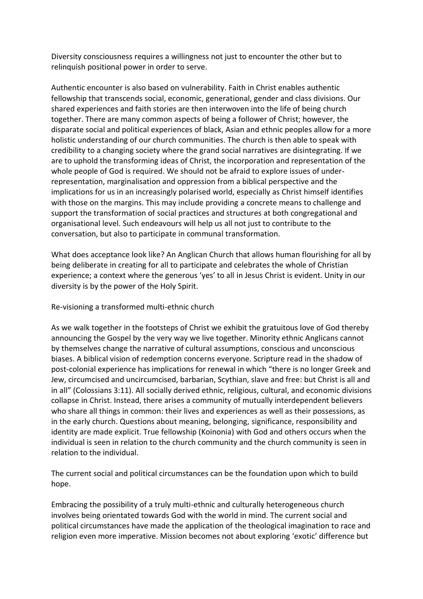Diversity consciousness requires a willingness not just to encounter the other but to relinquish positional power in order to serve.

Authentic encounter is also based on vulnerability. Faith in Christ enables authentic fellowship that transcends social, economic, generational, gender and class divisions. Our shared experiences and faith stories are then interwoven into the life of being church together. There are many common aspects of being a follower of Christ; however, the disparate social and political experiences of black, Asian and ethnic peoples allow for a more holistic understanding of our church communities. The church is then able to speak with credibility to a changing society where the grand social narratives are disintegrating. If we are to uphold the transforming ideas of Christ, the incorporation and representation of the whole people of God is required. We should not be afraid to explore issues of underrepresentation, marginalisation and oppression from a biblical perspective and the implications for us in an increasingly polarised world, especially as Christ himself identifies with those on the margins. This may include providing a concrete means to challenge and support the transformation of social practices and structures at both congregational and organisational level. Such endeavours will help us all not just to contribute to the conversation, but also to participate in communal transformation.

What does acceptance look like? An Anglican Church that allows human flourishing for all by being deliberate in creating for all to participate and celebrates the whole of Christian experience; a context where the generous 'yes' to all in Jesus Christ is evident. Unity in our diversity is by the power of the Holy Spirit.

Re-visioning a transformed multi-ethnic church

As we walk together in the footsteps of Christ we exhibit the gratuitous love of God thereby announcing the Gospel by the very way we live together. Minority ethnic Anglicans cannot by themselves change the narrative of cultural assumptions, conscious and unconscious biases. A biblical vision of redemption concerns everyone. Scripture read in the shadow of post-colonial experience has implications for renewal in which "there is no longer Greek and Jew, circumcised and uncircumcised, barbarian, Scythian, slave and free: but Christ is all and in all" (Colossians 3:11). All socially derived ethnic, religious, cultural, and economic divisions collapse in Christ. Instead, there arises a community of mutually interdependent believers who share all things in common: their lives and experiences as well as their possessions, as in the early church. Questions about meaning, belonging, significance, responsibility and identity are made explicit. True fellowship (Koinonia) with God and others occurs when the individual is seen in relation to the church community and the church community is seen in relation to the individual.

The current social and political circumstances can be the foundation upon which to build hope.

Embracing the possibility of a truly multi-ethnic and culturally heterogeneous church involves being orientated towards God with the world in mind. The current social and political circumstances have made the application of the theological imagination to race and religion even more imperative. Mission becomes not about exploring 'exotic' difference but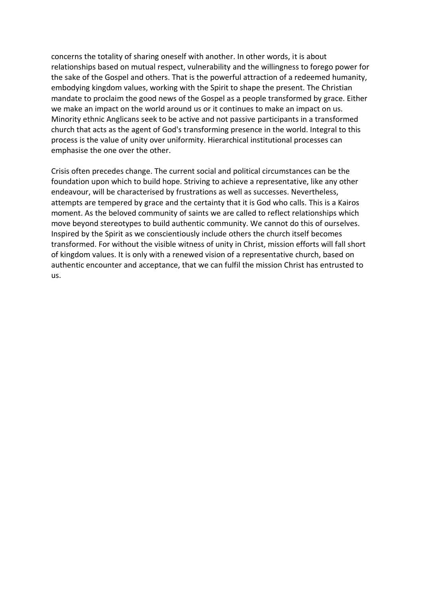concerns the totality of sharing oneself with another. In other words, it is about relationships based on mutual respect, vulnerability and the willingness to forego power for the sake of the Gospel and others. That is the powerful attraction of a redeemed humanity, embodying kingdom values, working with the Spirit to shape the present. The Christian mandate to proclaim the good news of the Gospel as a people transformed by grace. Either we make an impact on the world around us or it continues to make an impact on us. Minority ethnic Anglicans seek to be active and not passive participants in a transformed church that acts as the agent of God's transforming presence in the world. Integral to this process is the value of unity over uniformity. Hierarchical institutional processes can emphasise the one over the other.

Crisis often precedes change. The current social and political circumstances can be the foundation upon which to build hope. Striving to achieve a representative, like any other endeavour, will be characterised by frustrations as well as successes. Nevertheless, attempts are tempered by grace and the certainty that it is God who calls. This is a Kairos moment. As the beloved community of saints we are called to reflect relationships which move beyond stereotypes to build authentic community. We cannot do this of ourselves. Inspired by the Spirit as we conscientiously include others the church itself becomes transformed. For without the visible witness of unity in Christ, mission efforts will fall short of kingdom values. It is only with a renewed vision of a representative church, based on authentic encounter and acceptance, that we can fulfil the mission Christ has entrusted to us.